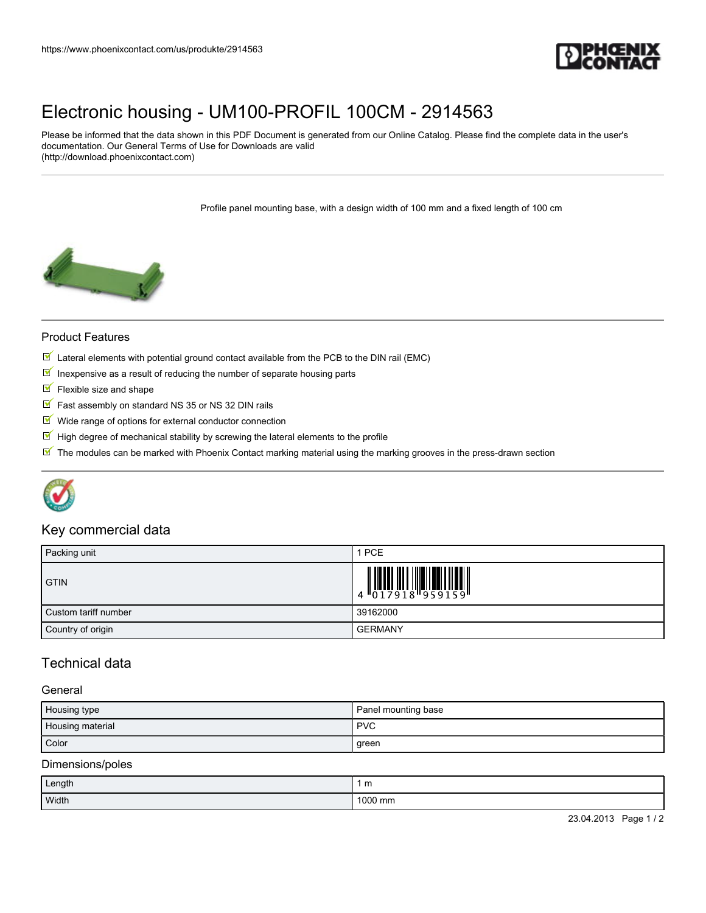

# [Electronic housing - UM100-PROFIL 100CM - 2914563](https://www.phoenixcontact.com/us/produkte/2914563)

Please be informed that the data shown in this PDF Document is generated from our Online Catalog. Please find the complete data in the user's documentation. Our General Terms of Use for Downloads are valid (http://download.phoenixcontact.com)

Profile panel mounting base, with a design width of 100 mm and a fixed length of 100 cm



#### Product Features

- $\mathbb N$  Lateral elements with potential ground contact available from the PCB to the DIN rail (EMC)
- $\blacksquare$  Inexpensive as a result of reducing the number of separate housing parts
- $\blacksquare$  Flexible size and shape
- $\blacksquare$  Fast assembly on standard NS 35 or NS 32 DIN rails
- $\blacksquare$  Wide range of options for external conductor connection
- $\mathbb I$  High degree of mechanical stability by screwing the lateral elements to the profile
- $\mathbb N$  The modules can be marked with Phoenix Contact marking material using the marking grooves in the press-drawn section



## Key commercial data

| Packing unit         | 1 PCE                                          |
|----------------------|------------------------------------------------|
| <b>GTIN</b>          | $\begin{array}{c} 0\\ 4\\ 0\\ 1\\ \end{array}$ |
| Custom tariff number | 39162000                                       |
| Country of origin    | <b>GERMANY</b>                                 |

# Technical data

#### **General**

| Housing type     | Panel mounting base |
|------------------|---------------------|
| Housing material | <b>PVC</b>          |
| Color            | green               |

#### Dimensions/poles

| Length | 1 m     |
|--------|---------|
| Width  | 1000 mm |